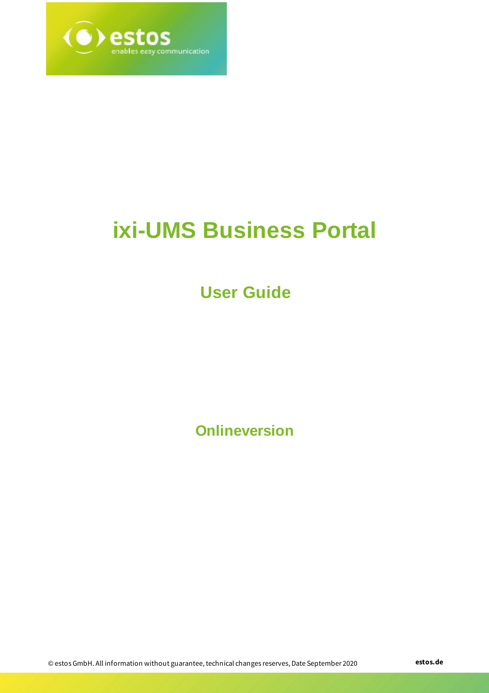

# **ixi-UMS Business Portal**

# **User Guide**

**Onlineversion**

© estos GmbH. All information without guarantee, technical changes reserves, Date September 2020 **estos.de**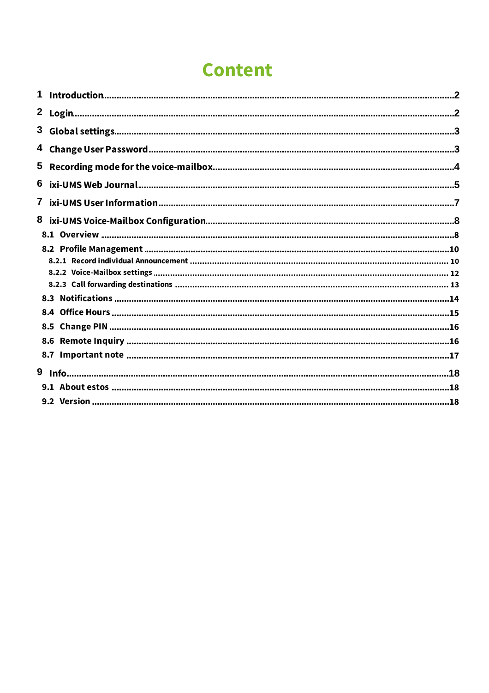# **Content**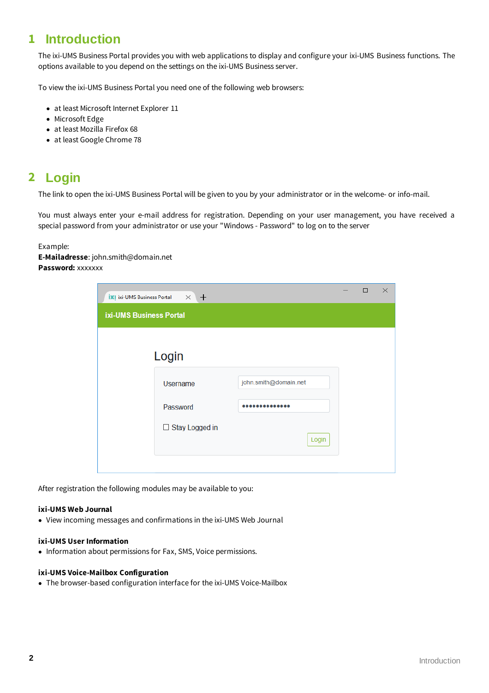# <span id="page-2-0"></span>**1 Introduction**

The ixi-UMS Business Portal provides you with web applications to display and configure your ixi-UMS Business functions. The options available to you depend on the settings on the ixi-UMS Business server.

To view the ixi-UMS Business Portal you need one of the following web browsers:

- · at least Microsoft Internet Explorer 11
- · Microsoft Edge
- · at least Mozilla Firefox 68
- · at least Google Chrome 78

# <span id="page-2-1"></span>**2 Login**

The link to open the ixi-UMS Business Portal will be given to you by your administrator or in the welcome- or info-mail.

You must always enter your e-mail address for registration. Depending on your user management, you have received a special password from your administrator or use your "Windows - Password" to log on to the server

#### Example:

**E-Mailadresse**: john.smith@domain.net **Password:** xxxxxxx

|                         | <b>IX</b>   ixi-UMS Business Portal $\times$ +           |                                | $\Box$ | × |
|-------------------------|----------------------------------------------------------|--------------------------------|--------|---|
| ixi-UMS Business Portal |                                                          |                                |        |   |
|                         | Login<br><b>Username</b><br>Password<br>□ Stay Logged in | john.smith@domain.net<br>Login |        |   |
|                         |                                                          |                                |        |   |

After registration the following modules may be available to you:

#### **ixi-UMS Web Journal**

· View incoming messages and confirmations in the ixi-UMS Web Journal

#### **ixi-UMS User Information**

• Information about permissions for Fax, SMS, Voice permissions.

#### **ixi-UMS Voice-Mailbox Configuration**

· The browser-based configuration interface for the ixi-UMS Voice-Mailbox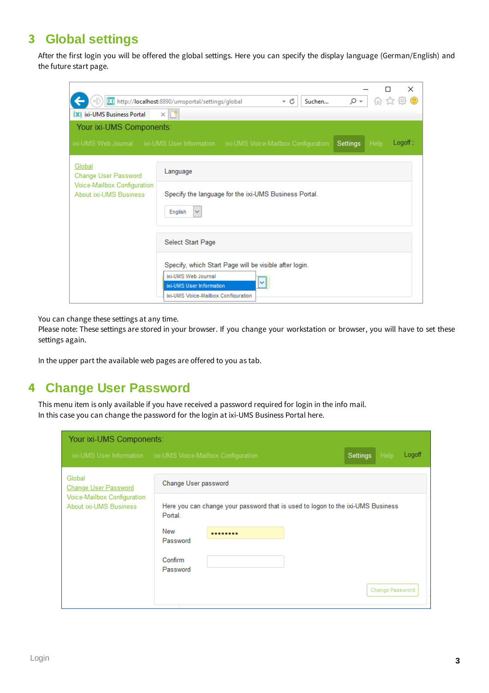# <span id="page-3-0"></span>**3 Global settings**

After the first login you will be offered the global settings. Here you can specify the display language (German/English) and the future start page.

| <b>XI</b> ixi-UMS Business Portal                     | ×<br>价太龄<br>$\bigcirc$<br>ix! http://localhost:8890/umsportal/settings/global<br>- م<br>- c<br>Suchen<br>$\times$ $\mathbb{F}^*$                 |
|-------------------------------------------------------|--------------------------------------------------------------------------------------------------------------------------------------------------|
| Your ixi-UMS Components:                              |                                                                                                                                                  |
|                                                       | Logoff:<br>ixi-UMS Web Journal ixi-UMS User Information ixi-UMS Voice-Mailbox Configuration<br>Settings<br>Help                                  |
| Global<br>Change User Password                        | Language                                                                                                                                         |
| Voice-Mailbox Configuration<br>About ixi-UMS Business | Specify the language for the ixi-UMS Business Portal.<br>English<br>$\checkmark$                                                                 |
|                                                       | Select Start Page                                                                                                                                |
|                                                       | Specify, which Start Page will be visible after login.<br>ixi-UMS Web Journal<br>ixi-UMS User Information<br>ixi-UMS Voice-Mailbox Configuration |

You can change these settings at any time.

Please note: These settings are stored in your browser. If you change your workstation or browser, you will have to set these settings again.

In the upper part the available web pages are offered to you as tab.

# <span id="page-3-1"></span>**4 Change User Password**

This menu item is only available if you have received a password required for login in the info mail. In this case you can change the password for the login at ixi-UMS Business Portal here.

| Your ixi-UMS Components:<br>Logoff<br>Help<br>ixi-UMS User Information ixi-UMS Voice-Mailbox Configuration<br>Settings |                      |                                                                                 |  |                 |
|------------------------------------------------------------------------------------------------------------------------|----------------------|---------------------------------------------------------------------------------|--|-----------------|
| Global<br><b>Change User Password</b>                                                                                  | Change User password |                                                                                 |  |                 |
| Voice-Mailbox Configuration<br>About ixi-UMS Business                                                                  | Portal.              | Here you can change your password that is used to logon to the ixi-UMS Business |  |                 |
|                                                                                                                        | New<br>Password      | --------                                                                        |  |                 |
|                                                                                                                        | Confirm<br>Password  |                                                                                 |  |                 |
|                                                                                                                        |                      |                                                                                 |  | Change Password |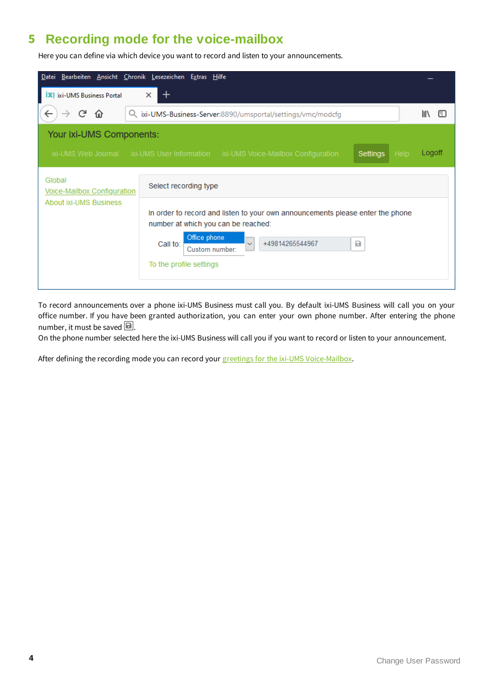# <span id="page-4-0"></span>**5 Recording mode for the voice-mailbox**

Here you can define via which device you want to record and listen to your announcements.

| <b>Datei</b>                          | Bearbeiten Ansicht Chronik Lesezeichen Extras Hilfe                                                                                                                                                                                    |        |
|---------------------------------------|----------------------------------------------------------------------------------------------------------------------------------------------------------------------------------------------------------------------------------------|--------|
| <b>IXI</b> ixi-UMS Business Portal    | $\times$                                                                                                                                                                                                                               |        |
| G<br>⋒                                | Q ixi-UMS-Business-Server:8890/umsportal/settings/vmc/modcfg                                                                                                                                                                           | 肛      |
| Your ixi-UMS Components:              |                                                                                                                                                                                                                                        |        |
|                                       | ixi-UMS Web Journal ixi-UMS User Information ixi-UMS Voice-Mailbox Configuration<br>Help<br>Settings                                                                                                                                   | Logoff |
| Global<br>Voice-Mailbox Configuration | Select recording type                                                                                                                                                                                                                  |        |
| <b>About ixi-UMS Business</b>         | In order to record and listen to your own announcements please enter the phone<br>number at which you can be reached:<br>Office phone<br>$\checkmark$<br>+49814265544967<br>Call to:<br>Ы<br>Custom number:<br>To the profile settings |        |

To record announcements over a phone ixi-UMS Business must call you. By default ixi-UMS Business will call you on your office number. If you have been granted authorization, you can enter your own phone number. After entering the phone number, it must be saved  $\blacksquare$ .

On the phone number selected here the ixi-UMS Business will call you if you want to record or listen to your announcement.

After defining the recording mode you can record your greetings for the ixi-UMS [Voice-Mailbox](#page-10-0).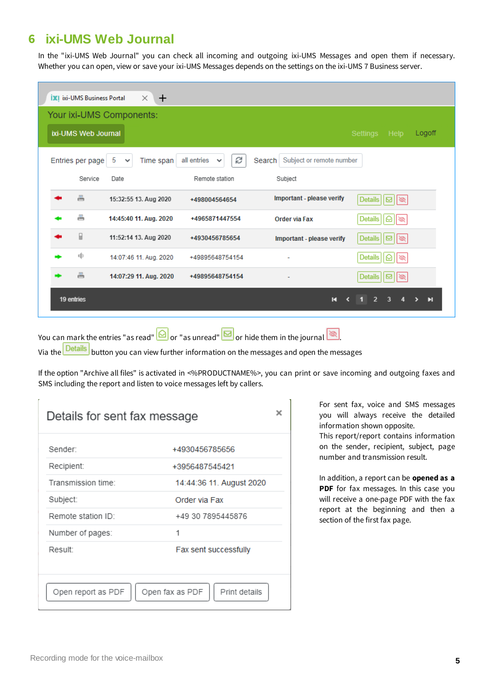# <span id="page-5-0"></span>**6 ixi-UMS Web Journal**

In the "ixi-UMS Web Journal" you can check all incoming and outgoing ixi-UMS Messages and open them if necessary. Whether you can open, view or save your ixi-UMS Messages depends on the settings on the ixi-UMS 7 Business server.

| <b>XI</b> ixi-UMS Business Portal<br>$\times$ 1<br>$+$                                                                                |  |
|---------------------------------------------------------------------------------------------------------------------------------------|--|
| Your ixi-UMS Components:                                                                                                              |  |
| ixi-UMS Web Journal<br>Settings<br>Logoff<br>Help                                                                                     |  |
| e<br>all entries<br>Search Subject or remote number<br>Entries per page<br>5<br>Time span<br>$\checkmark$<br>$\checkmark$             |  |
| Service<br>Remote station<br>Date<br>Subject                                                                                          |  |
| 름<br>Important - please verify<br>Details $\vert \vert \boxtimes \vert \vert \otimes \vert$<br>15:32:55 13. Aug 2020<br>+498004564654 |  |
| 름<br>14:45:40 11. Aug. 2020<br><b>Details</b><br>+4965871447554<br><b>Order via Fax</b><br>▧<br>∾                                     |  |
| ₽<br>11:52:14 13. Aug 2020<br>+4930456785654<br>Important - please verify<br><b>Details</b><br>$\frac{1}{2}$                          |  |
| 咱<br>14:07:46 11. Aug. 2020<br>Details<br>+49895648754154<br>▧<br>ы                                                                   |  |
| 름<br>14:07:29 11. Aug. 2020<br>+49895648754154<br>Details<br>⊡<br>$\infty$                                                            |  |
| 19 entries<br>$\overline{2}$<br>3<br>$\mathbf{H}$<br>К                                                                                |  |

You can mark the entries "as read"  $\boxed{\bigcirc}$  or "as unread"  $\boxed{\bigcirc}$  or hide them in the journal  $\boxed{\otimes}$ 

Via the **Details** button you can view further information on the messages and open the messages

If the option "Archive all files" is activated in <%PRODUCTNAME%>, you can print or save incoming and outgoing faxes and SMS including the report and listen to voice messages left by callers.

| Details for sent fax message |                                  |
|------------------------------|----------------------------------|
| Sender:                      | +4930456785656                   |
| Recipient:                   | +3956487545421                   |
| Transmission time:           | 14:44:36 11. August 2020         |
| Subject:                     | Order via Fax                    |
| Remote station ID:           | +49 30 7895445876                |
| Number of pages:             | 1                                |
| Result:                      | Fax sent successfully            |
|                              |                                  |
| Open report as PDF           | Open fax as PDF<br>Print details |

For sent fax, voice and SMS messages you will always receive the detailed information shown opposite.

This report/report contains information on the sender, recipient, subject, page number and transmission result.

In addition, a report can be **opened as a PDF** for fax messages. In this case you will receive a one-page PDF with the fax report at the beginning and then a section of the first fax page.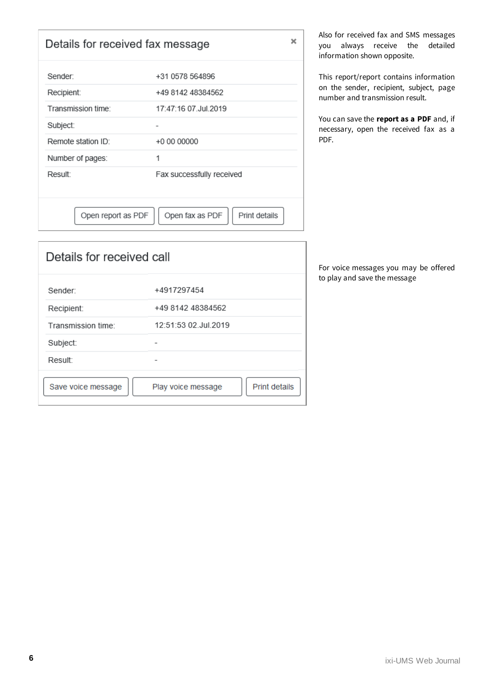| ×<br>Details for received fax message |                                  |  |
|---------------------------------------|----------------------------------|--|
| Sender:                               | +31 0578 564896                  |  |
| Recipient:                            | +49 8142 48384562                |  |
| Transmission time:                    | 17:47:16 07 Jul 2019             |  |
| Subject:                              |                                  |  |
| Remote station ID:                    | +0 00 00000                      |  |
| Number of pages:                      | 1                                |  |
| Result:                               | Fax successfully received        |  |
|                                       |                                  |  |
| Open report as PDF                    | Open fax as PDF<br>Print details |  |

Also for received fax and SMS messages you always receive the detailed information shown opposite.

This report/report contains information on the sender, recipient, subject, page number and transmission result.

You can save the **report as a PDF** and, if necessary, open the received fax as a PDF.

For voice messages you may be offered to play and save the message

| Sender:            | +4917297454                         |
|--------------------|-------------------------------------|
| Recipient:         | +49 8142 48384562                   |
| Transmission time: | 12:51:53 02.Jul.2019                |
| Subject:           |                                     |
| Result:            |                                     |
| Save voice message | Print details<br>Play voice message |

Details for received call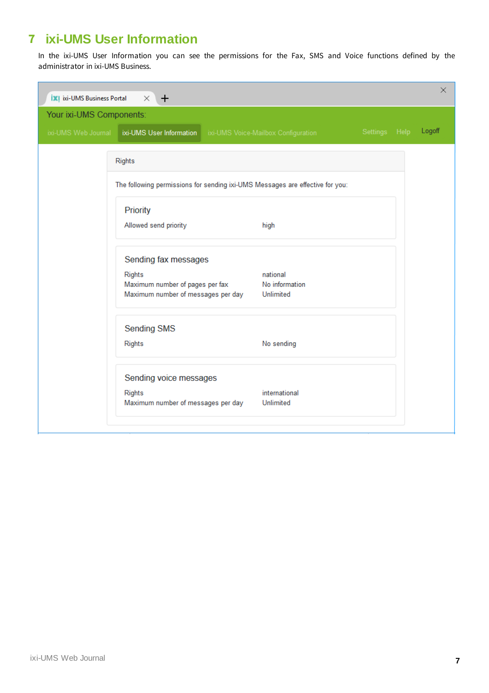# <span id="page-7-0"></span>**7 ixi-UMS User Information**

In the ixi-UMS User Information you can see the permissions for the Fax, SMS and Voice functions defined by the administrator in ixi-UMS Business.

| <b>XI</b> ixi-UMS Business Portal | $\times$<br>$+$                                                               |                                     |               | X      |
|-----------------------------------|-------------------------------------------------------------------------------|-------------------------------------|---------------|--------|
| Your ixi-UMS Components:          |                                                                               |                                     |               |        |
|                                   | ixi-UMS Web Journal   ixi-UMS User Information                                | ixi-UMS Voice-Mailbox Configuration | Settings Help | Logoff |
|                                   | <b>Rights</b>                                                                 |                                     |               |        |
|                                   |                                                                               |                                     |               |        |
|                                   | The following permissions for sending ixi-UMS Messages are effective for you: |                                     |               |        |
|                                   | Priority                                                                      |                                     |               |        |
|                                   | Allowed send priority                                                         | high                                |               |        |
|                                   |                                                                               |                                     |               |        |
|                                   | Sending fax messages                                                          |                                     |               |        |
|                                   | <b>Rights</b>                                                                 | national                            |               |        |
|                                   | Maximum number of pages per fax<br>Maximum number of messages per day         | No information<br>Unlimited         |               |        |
|                                   |                                                                               |                                     |               |        |
|                                   | <b>Sending SMS</b>                                                            |                                     |               |        |
|                                   | Rights                                                                        | No sending                          |               |        |
|                                   |                                                                               |                                     |               |        |
|                                   | Sending voice messages                                                        |                                     |               |        |
|                                   | <b>Rights</b>                                                                 | international                       |               |        |
|                                   | Maximum number of messages per day                                            | Unlimited                           |               |        |
|                                   |                                                                               |                                     |               |        |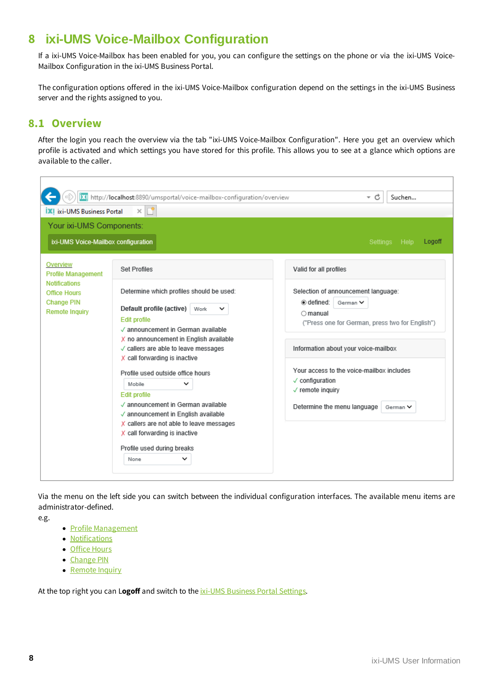# <span id="page-8-0"></span>**8 ixi-UMS Voice-Mailbox Configuration**

If a ixi-UMS Voice-Mailbox has been enabled for you, you can configure the settings on the phone or via the ixi-UMS Voice-Mailbox Configuration in the ixi-UMS Business Portal.

The configuration options offered in the ixi-UMS Voice-Mailbox configuration depend on the settings in the ixi-UMS Business server and the rights assigned to you.

### <span id="page-8-1"></span>**8.1 Overview**

After the login you reach the overview via the tab "ixi-UMS Voice-Mailbox Configuration". Here you get an overview which profile is activated and which settings you have stored for this profile. This allows you to see at a glance which options are available to the caller.

| <b>XI</b> ixi-UMS Business Portal                                                                                                  | ix! http://localhost:8890/umsportal/voice-mailbox-configuration/overview<br>Lŧ<br>$\times$                                                                                                                                                                                                                                                                                                                                                                                                                                                           | - c<br>Suchen                                                                                                                                                                                                                                                                                                                                 |
|------------------------------------------------------------------------------------------------------------------------------------|------------------------------------------------------------------------------------------------------------------------------------------------------------------------------------------------------------------------------------------------------------------------------------------------------------------------------------------------------------------------------------------------------------------------------------------------------------------------------------------------------------------------------------------------------|-----------------------------------------------------------------------------------------------------------------------------------------------------------------------------------------------------------------------------------------------------------------------------------------------------------------------------------------------|
| Your ixi-UMS Components:<br>ixi-UMS Voice-Mailbox configuration                                                                    |                                                                                                                                                                                                                                                                                                                                                                                                                                                                                                                                                      | Logoff<br>Settings Help                                                                                                                                                                                                                                                                                                                       |
| Overview<br><b>Profile Management</b><br><b>Notifications</b><br><b>Office Hours</b><br><b>Change PIN</b><br><b>Remote Inquiry</b> | Set Profiles<br>Determine which profiles should be used:<br>Default profile (active)<br>Work<br>◡<br><b>Edit profile</b><br>√ announcement in German available<br>X no announcement in English available<br>√ callers are able to leave messages<br>X call forwarding is inactive<br>Profile used outside office hours<br>Mobile<br>◡<br><b>Edit profile</b><br>√ announcement in German available<br>√ announcement in English available<br>X callers are not able to leave messages<br>X call forwarding is inactive<br>Profile used during breaks | Valid for all profiles<br>Selection of announcement language:<br>o defined:<br>German V<br>$\cap$ manual<br>("Press one for German, press two for English")<br>Information about your voice-mailbox<br>Your access to the voice-mailbox includes<br>$\checkmark$ configuration<br>√ remote inquiry<br>Determine the menu language<br>German V |
|                                                                                                                                    | None<br>◡                                                                                                                                                                                                                                                                                                                                                                                                                                                                                                                                            |                                                                                                                                                                                                                                                                                                                                               |

Via the menu on the left side you can switch between the individual configuration interfaces. The available menu items are administrator-defined.

e.g.

- · Profile [Management](#page-10-0)
- · [Notifications](#page-14-0)
- · Office [Hours](#page-15-0)
- · [Change](#page-16-0) PIN
- [Remote](#page-16-1) Inquiry

At the top right you can L**ogoff** and switch to the ixi-UMS [Business](#page-3-0) Portal Settings.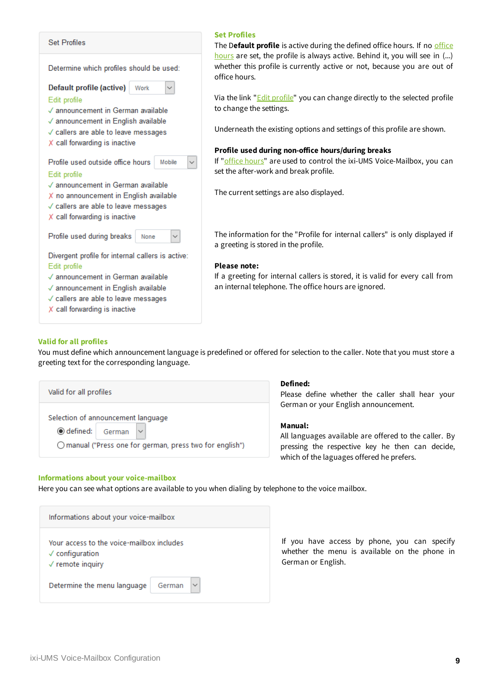

#### **Set Profiles**

The D**efault profile** is active during the defined office hours. If no [office](#page-15-0) [hours](#page-15-0) are set, the profile is always active. Behind it, you will see in (...) whether this profile is currently active or not, because you are out of office hours.

Via the link "*Edit [profile](#page-10-0)*" you can change directly to the selected profile to change the settings.

Underneath the existing options and settings of this profile are shown.

#### **Profile used during non-office hours/during breaks**

If "office [hours](#page-15-0)" are used to control the ixi-UMS Voice-Mailbox, you can set the after-work and break profile.

The current settings are also displayed.

The information for the "Profile for internal callers" is only displayed if a greeting is stored in the profile.

#### **Please note:**

If a greeting for internal callers is stored, it is valid for every call from an internal telephone. The office hours are ignored.

#### **Valid for all profiles**

You must define which announcement language is predefined or offered for selection to the caller. Note that you must store a greeting text for the corresponding language.

Valid for all profiles Selection of announcement language ◉ defined: German O manual ("Press one for german, press two for english")

#### **Informations about your voice-mailbox**

Here you can see what options are available to you when dialing by telephone to the voice mailbox.

Informations about your voice-mailbox Your access to the voice-mailbox includes  $\sqrt{\phantom{a}}$  configuration  $\sqrt{}$  remote inquiry Determine the menu language German

### **Defined:**

Please define whether the caller shall hear your German or your English announcement.

#### **Manual:**

All languages available are offered to the caller. By pressing the respective key he then can decide, which of the laguages offered he prefers.

If you have access by phone, you can specify whether the menu is available on the phone in German or English.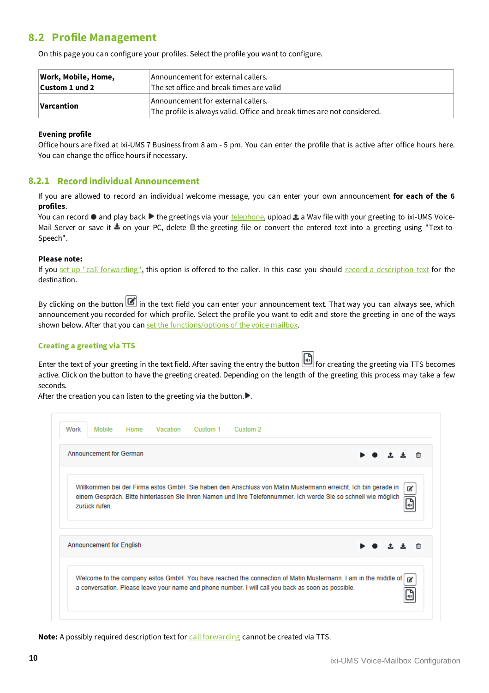## <span id="page-10-0"></span>**8.2 Profile Management**

On this page you can configure your profiles. Select the profile you want to configure.

| Work, Mobile, Home, | Announcement for external callers.                                                                            |  |
|---------------------|---------------------------------------------------------------------------------------------------------------|--|
| Custom 1 und 2      | The set office and break times are valid                                                                      |  |
| Varcantion          | Announcement for external callers.<br>The profile is always valid. Office and break times are not considered. |  |

#### **Evening profile**

Office hours are fixed at ixi-UMS 7 Business from 8 am - 5 pm. You can enter the profile that is active after office hours here. You can change the office hours if necessary.

#### <span id="page-10-1"></span>**8.2.1 Record individual Announcement**

If you are allowed to record an individual welcome message, you can enter your own announcement **for each of the 6 profiles**.

You can record  $\bullet$  and play back  $\triangleright$  the greetings via your [telephone](#page-4-0), upload  $\triangle$  a Wav file with your greeting to ixi-UMS Voice-Mail Server or save it  $\triangle$  on your PC, delete  $\hat{I}$  the greeting file or convert the entered text into a greeting using "Text-to-Speech".

#### **Please note:**

If you set up "call [forwarding",](#page-12-0) this option is offered to the caller. In this case you should record a [description](#page-13-0) text for the destination.

By clicking on the button  $\Box$  in the text field you can enter your announcement text. That way you can always see, which announcement you recorded for which profile. Select the profile you want to edit and store the greeting in one of the ways shown below. After that you can set the [functions/options](#page-12-0) of the voice mailbox.

#### **Creating a greeting via TTS**

Enter the text of your greeting in the text field. After saving the entry the button **For creating the greeting via TTS becomes** active. Click on the button to have the greeting created. Depending on the length of the greeting this process may take a few seconds.

After the creation you can listen to the greeting via the button. $\blacktriangleright$ .

| Work | Mobile                          | Home Vacation | Custom 1 | Custom 2                                                                                                                                                                                                                         |  |   |
|------|---------------------------------|---------------|----------|----------------------------------------------------------------------------------------------------------------------------------------------------------------------------------------------------------------------------------|--|---|
|      | <b>Announcement for German</b>  |               |          |                                                                                                                                                                                                                                  |  | 俞 |
|      | zurück rufen.                   |               |          | Willkommen bei der Firma estos GmbH. Sie haben den Anschluss von Matin Mustermann erreicht. Ich bin gerade in<br>einem Gespräch. Bitte hinterlassen Sie Ihren Namen und Ihre Telefonnummer. Ich werde Sie so schnell wie möglich |  | ☞ |
|      | <b>Announcement for English</b> |               |          |                                                                                                                                                                                                                                  |  |   |
|      |                                 |               |          | Welcome to the company estos GmbH. You have reached the connection of Matin Mustermann. I am in the middle of<br>a conversation. Please leave your name and phone number. I will call you back as soon as possible.              |  | ☞ |

**Note:** A possibly required description text for call [forwarding](#page-13-0) cannot be created via TTS.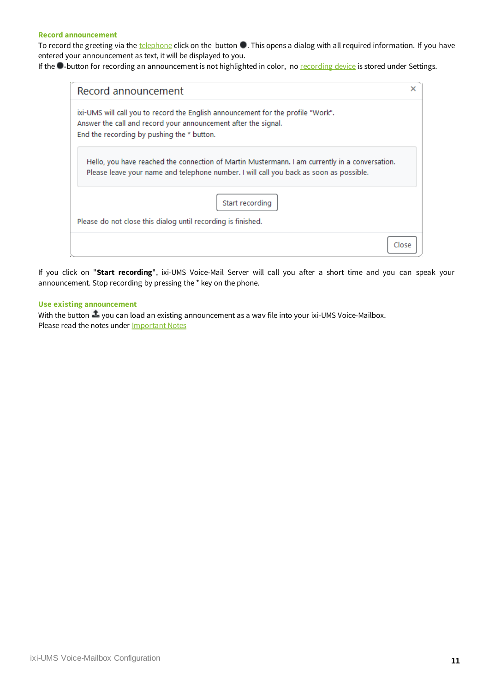#### **Record announcement**

To record the greeting via the [telephone](#page-4-0) click on the button  $\bullet$ . This opens a dialog with all required information. If you have entered your announcement as text, it will be displayed to you.

If the **-**button for [recording](#page-4-0) an announcement is not highlighted in color, no recording device is stored under Settings.

| Record announcement                                                                                                                                                                              | ×     |
|--------------------------------------------------------------------------------------------------------------------------------------------------------------------------------------------------|-------|
| ixi-UMS will call you to record the English announcement for the profile "Work".<br>Answer the call and record your announcement after the signal.<br>End the recording by pushing the * button. |       |
| Hello, you have reached the connection of Martin Mustermann. I am currently in a conversation.<br>Please leave your name and telephone number. I will call you back as soon as possible.         |       |
| Start recording                                                                                                                                                                                  |       |
| Please do not close this dialog until recording is finished.                                                                                                                                     |       |
|                                                                                                                                                                                                  | Close |

If you click on "**Start recording**", ixi-UMS Voice-Mail Server will call you after a short time and you can speak your announcement. Stop recording by pressing the \* key on the phone.

#### **Use existing announcement**

With the button  $\clubsuit$  you can load an existing announcement as a wav file into your ixi-UMS Voice-Mailbox. Please read the notes under [Important](#page-17-0) Notes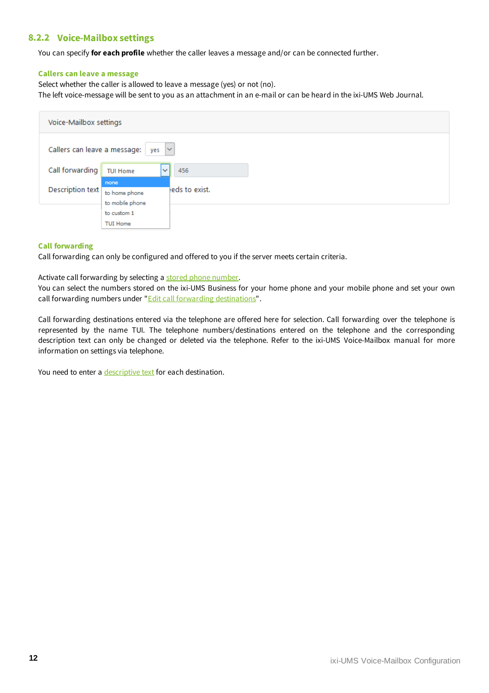### <span id="page-12-0"></span>**8.2.2 Voice-Mailbox settings**

You can specify **for each profile** whether the caller leaves a message and/or can be connected further.

#### **Callers can leave a message**

Select whether the caller is allowed to leave a message (yes) or not (no).

The left voice-message will be sent to you as an attachment in an e-mail or can be heard in the ixi-UMS Web Journal.

|                              | Voice-Mailbox settings                   |                |  |  |  |  |
|------------------------------|------------------------------------------|----------------|--|--|--|--|
| Callers can leave a message: | $\checkmark$<br>yes                      |                |  |  |  |  |
| Call forwarding              | $\checkmark$<br><b>TUI Home</b>          | 456            |  |  |  |  |
| Description text             | none<br>to home phone<br>to mobile phone | leds to exist. |  |  |  |  |
|                              | to custom 1<br><b>TUI Home</b>           |                |  |  |  |  |

#### **Call forwarding**

Call forwarding can only be configured and offered to you if the server meets certain criteria.

Activate call forwarding by selecting a stored phone [number](#page-13-0).

You can select the numbers stored on the ixi-UMS Business for your home phone and your mobile phone and set your own call forwarding numbers under "*Edit call forwarding [destinations](#page-13-0)*".

Call forwarding destinations entered via the telephone are offered here for selection. Call forwarding over the telephone is represented by the name TUI. The telephone numbers/destinations entered on the telephone and the corresponding description text can only be changed or deleted via the telephone. Refer to the ixi-UMS Voice-Mailbox manual for more information on settings via telephone.

You need to enter a [descriptive](#page-13-0) text for each destination.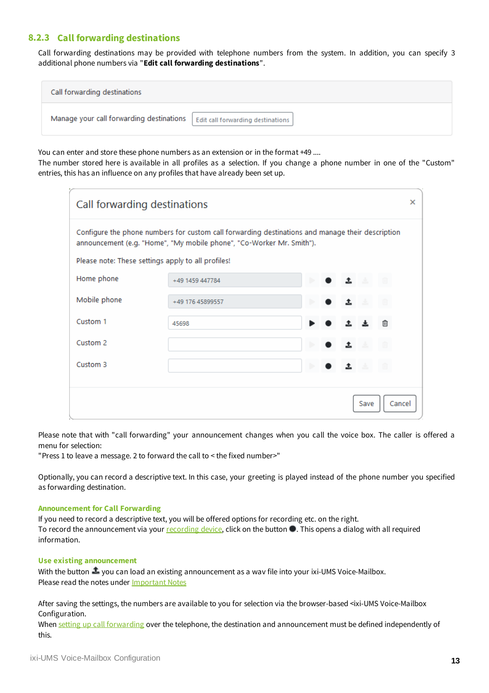### <span id="page-13-0"></span>**8.2.3 Call forwarding destinations**

Call forwarding destinations may be provided with telephone numbers from the system. In addition, you can specify 3 additional phone numbers via "**Edit call forwarding destinations**".

| Call forwarding destinations             |                                   |  |  |  |
|------------------------------------------|-----------------------------------|--|--|--|
| Manage your call forwarding destinations | Edit call forwarding destinations |  |  |  |

You can enter and store these phone numbers as an extension or in the format +49 ....

The number stored here is available in all profiles as a selection. If you change a phone number in one of the "Custom" entries, this has an influence on any profiles that have already been set up.

| Call forwarding destinations                                                                                                                                              |                  |  |                |  |  |  |  |  |
|---------------------------------------------------------------------------------------------------------------------------------------------------------------------------|------------------|--|----------------|--|--|--|--|--|
| Configure the phone numbers for custom call forwarding destinations and manage their description<br>announcement (e.g. "Home", "My mobile phone", "Co-Worker Mr. Smith"). |                  |  |                |  |  |  |  |  |
| Please note: These settings apply to all profiles!                                                                                                                        |                  |  |                |  |  |  |  |  |
| Home phone                                                                                                                                                                | +49 1459 447784  |  |                |  |  |  |  |  |
| Mobile phone                                                                                                                                                              | +49 176 45899557 |  |                |  |  |  |  |  |
| Custom 1                                                                                                                                                                  | 45698            |  | 侕              |  |  |  |  |  |
| Custom <sub>2</sub>                                                                                                                                                       |                  |  |                |  |  |  |  |  |
| Custom <sub>3</sub>                                                                                                                                                       |                  |  |                |  |  |  |  |  |
|                                                                                                                                                                           |                  |  |                |  |  |  |  |  |
|                                                                                                                                                                           |                  |  | Cancel<br>Save |  |  |  |  |  |

Please note that with "call forwarding" your announcement changes when you call the voice box. The caller is offered a menu for selection:

"Press 1 to leave a message. 2 to forward the call to < the fixed number>"

Optionally, you can record a descriptive text. In this case, your greeting is played instead of the phone number you specified as forwarding destination.

#### **Announcement for Call Forwarding**

If you need to record a descriptive text, you will be offered options for recording etc. on the right. To record the announcement via your [recording](#page-4-0) device, click on the button  $\bullet$ . This opens a dialog with all required information.

#### **Use existing announcement**

With the button  $\clubsuit$  you can load an existing announcement as a wav file into your ixi-UMS Voice-Mailbox. Please read the notes under [Important](#page-17-0) Notes

After saving the settings, the numbers are available to you for selection via the browser-based <ixi-UMS Voice-Mailbox Configuration.

When setting up call [forwarding](#page-12-0) over the telephone, the destination and announcement must be defined independently of this.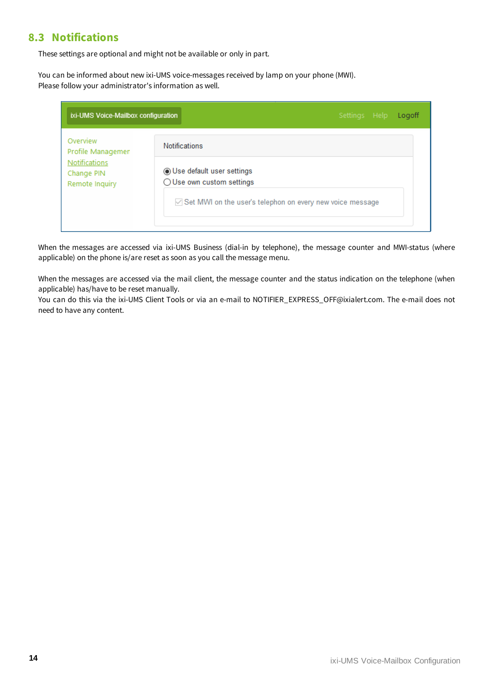### <span id="page-14-0"></span>**8.3 Notifications**

These settings are optional and might not be available or only in part.

You can be informed about new ixi-UMS voice-messages received by lamp on your phone (MWI). Please follow your administrator's information as well.

| ixi-UMS Voice-Mailbox configuration                  | Settings Help<br>Logoff                                     |
|------------------------------------------------------|-------------------------------------------------------------|
| Overview<br>Profile Managemen                        | <b>Notifications</b>                                        |
| <b>Notifications</b><br>Change PIN<br>Remote Inquiry | ◉ Use default user settings<br>◯ Use own custom settings    |
|                                                      | ○ Set MWI on the user's telephon on every new voice message |
|                                                      |                                                             |

When the messages are accessed via ixi-UMS Business (dial-in by telephone), the message counter and MWI-status (where applicable) on the phone is/are reset as soon as you call the message menu.

When the messages are accessed via the mail client, the message counter and the status indication on the telephone (when applicable) has/have to be reset manually.

You can do this via the ixi-UMS Client Tools or via an e-mail to NOTIFIER\_EXPRESS\_OFF@ixialert.com. The e-mail does not need to have any content.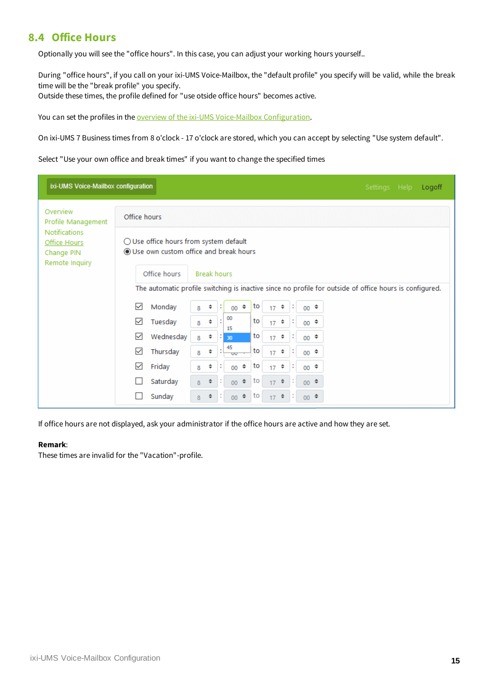### <span id="page-15-0"></span>**8.4 Office Hours**

Optionally you will see the "office hours". In this case, you can adjust your working hours yourself..

During "office hours", if you call on your ixi-UMS Voice-Mailbox, the "default profile" you specify will be valid, while the break time will be the "break profile" you specify.

Outside these times, the profile defined for "use otside office hours" becomes active.

You can set the profiles in the **overview of the ixi-UMS [Voice-Mailbox](#page-8-1) Configuration**.

On ixi-UMS 7 Business times from 8 o'clock - 17 o'clock are stored, which you can accept by selecting "Use system default".

Select "Use your own office and break times" if you want to change the specified times

| ixi-UMS Voice-Mailbox configuration                                  |                                                 |                                                                                                         | Settings Help<br>Logoff |
|----------------------------------------------------------------------|-------------------------------------------------|---------------------------------------------------------------------------------------------------------|-------------------------|
| Overview<br>Profile Management                                       | Office hours                                    |                                                                                                         |                         |
| <b>Notifications</b><br>Office Hours<br>Change PIN<br>Remote Inquiry | $\bigcirc$ Use office hours from system default | Use own custom office and break hours                                                                   |                         |
|                                                                      | Office hours                                    | <b>Break hours</b>                                                                                      |                         |
|                                                                      |                                                 | The automatic profile switching is inactive since no profile for outside of office hours is configured. |                         |
|                                                                      | Monday<br>$\checkmark$                          | ÷<br>to<br>$\div$<br>÷<br>÷<br>$00 \div$<br>17<br>00<br>8                                               |                         |
|                                                                      | ✓<br>Tuesday                                    | 00<br>to<br>÷<br>$17$ $\approx$<br>$00 \div$<br>8<br>15                                                 |                         |
|                                                                      | ☑<br>Wednesday                                  | to<br>$\div$<br>$17$ $\approx$<br>$00 \div$<br>и<br>30<br>8                                             |                         |
|                                                                      | ☑<br>Thursday                                   | 45<br>to<br>÷<br>÷<br>$00 \div$<br>17 <sup>°</sup><br>8<br>$\overline{\mathbf{w}}$                      |                         |
|                                                                      | ✓<br>Friday                                     | to<br>$\Rightarrow$<br>÷<br>÷<br>$\div$<br>$00 \div$<br>17<br>00<br>8                                   |                         |
|                                                                      | Saturday                                        | ÷<br>$\div$<br>∣to<br>÷<br>÷<br>$00 \div$<br>00 <sub>1</sub><br>8<br>17                                 |                         |
|                                                                      | Sunday                                          | $\Rightarrow$<br>÷<br>l to<br>$00 \div$<br>00 <sub>1</sub><br>8<br>17                                   |                         |

If office hours are not displayed, ask your administrator if the office hours are active and how they are set.

#### **Remark**:

These times are invalid for the "Vacation"-profile.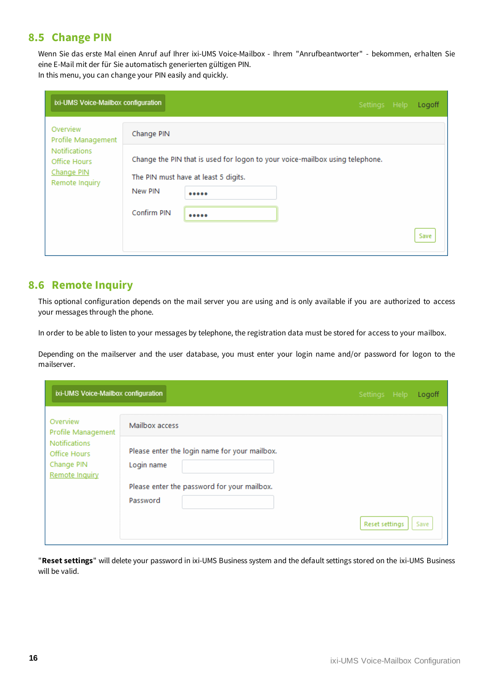### <span id="page-16-0"></span>**8.5 Change PIN**

Wenn Sie das erste Mal einen Anruf auf Ihrer ixi-UMS Voice-Mailbox - Ihrem "Anrufbeantworter" - bekommen, erhalten Sie eine E-Mail mit der für Sie automatisch generierten gültigen PIN. In this menu, you can change your PIN easily and quickly.

| ixi-UMS Voice-Mailbox configuration                                                                    |                                      |                                              |                                                                              | Settings Help | Logoff |
|--------------------------------------------------------------------------------------------------------|--------------------------------------|----------------------------------------------|------------------------------------------------------------------------------|---------------|--------|
| Overview<br>Profile Management<br><b>Notifications</b><br>Office Hours<br>Change PIN<br>Remote Inquiry | Change PIN<br>New PIN<br>Confirm PIN | The PIN must have at least 5 digits.<br><br> | Change the PIN that is used for logon to your voice-mailbox using telephone. |               | Save   |

### <span id="page-16-1"></span>**8.6 Remote Inquiry**

This optional configuration depends on the mail server you are using and is only available if you are authorized to access your messages through the phone.

In order to be able to listen to your messages by telephone, the registration data must be stored for access to your mailbox.

Depending on the mailserver and the user database, you must enter your login name and/or password for logon to the mailserver.

| ixi-UMS Voice-Mailbox configuration                                                  |                                                                               | Settings Help  | Logoff |
|--------------------------------------------------------------------------------------|-------------------------------------------------------------------------------|----------------|--------|
| Overview<br>Profile Management<br><b>Notifications</b><br>Office Hours<br>Change PIN | Mailbox access<br>Please enter the login name for your mailbox.<br>Login name |                |        |
| Remote Inquiry                                                                       | Please enter the password for your mailbox.<br>Password                       | Reset settings | Save   |

"**Reset settings**" will delete your password in ixi-UMS Business system and the default settings stored on the ixi-UMS Business will be valid.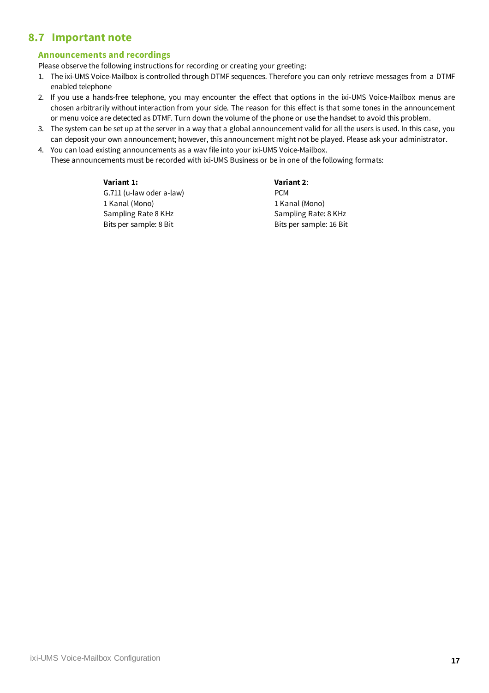# <span id="page-17-0"></span>**8.7 Important note**

### **Announcements and recordings**

Please observe the following instructions for recording or creating your greeting:

- 1. The ixi-UMS Voice-Mailbox is controlled through DTMF sequences. Therefore you can only retrieve messages from a DTMF enabled telephone
- 2. If you use a hands-free telephone, you may encounter the effect that options in the ixi-UMS Voice-Mailbox menus are chosen arbitrarily without interaction from your side. The reason for this effect is that some tones in the announcement or menu voice are detected as DTMF. Turn down the volume of the phone or use the handset to avoid this problem.
- 3. The system can be set up at the server in a way that a global announcement valid for all the users is used. In this case, you can deposit your own announcement; however, this announcement might not be played. Please ask your administrator.
- 4. You can load existing announcements as a wav file into your ixi-UMS Voice-Mailbox. These announcements must be recorded with ixi-UMS Business or be in one of the following formats:

#### **Variant 1:**

G.711 (u-law oder a-law) 1 Kanal (Mono) Sampling Rate 8 KHz Bits per sample: 8 Bit

**Variant 2**:

PCM 1 Kanal (Mono) Sampling Rate: 8 KHz Bits per sample: 16 Bit